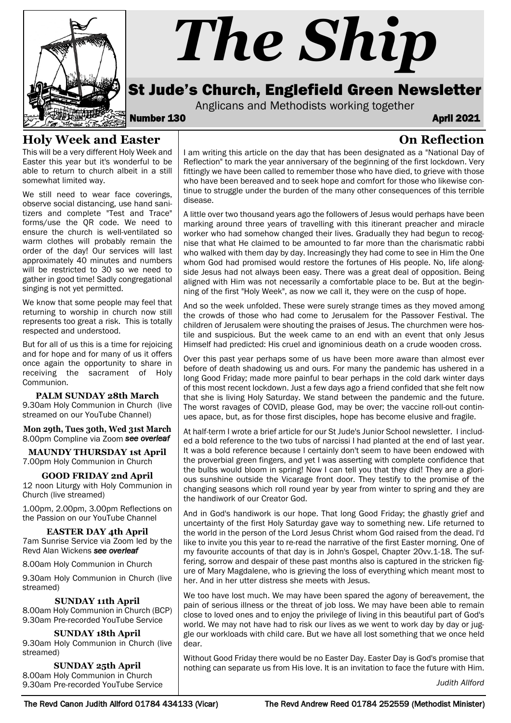

# *The Ship*

# St Jude's Church, Englefield Green Newsletter

Anglicans and Methodists working together<br>**April 2021** April 2021

**On Reflection**

### **Holy Week and Easter**

This will be a very different Holy Week and Easter this year but it's wonderful to be able to return to church albeit in a still somewhat limited way.

We still need to wear face coverings, observe social distancing, use hand sanitizers and complete "Test and Trace" forms/use the QR code. We need to ensure the church is well-ventilated so warm clothes will probably remain the order of the day! Our services will last approximately 40 minutes and numbers will be restricted to 30 so we need to gather in good time! Sadly congregational singing is not yet permitted.

We know that some people may feel that returning to worship in church now still represents too great a risk. This is totally respected and understood.

But for all of us this is a time for rejoicing and for hope and for many of us it offers once again the opportunity to share in receiving the sacrament of Holy Communion.

**PALM SUNDAY 28th March** 9.30am Holy Communion in Church (live streamed on our YouTube Channel)

**Mon 29th, Tues 30th, Wed 31st March** 8.00pm Compline via Zoom see overleaf

**MAUNDY THURSDAY 1st April**  7.00pm Holy Communion in Church

**GOOD FRIDAY 2nd April**  12 noon Liturgy with Holy Communion in Church (live streamed)

1.00pm, 2.00pm, 3.00pm Reflections on the Passion on our YouTube Channel

**EASTER DAY 4th April** 7am Sunrise Service via Zoom led by the Revd Alan Wickens see overleaf

8.00am Holy Communion in Church

9.30am Holy Communion in Church (live streamed)

#### **SUNDAY 11th April**

8.00am Holy Communion in Church (BCP) 9.30am Pre-recorded YouTube Service

#### **SUNDAY 18th April**

9.30am Holy Communion in Church (live streamed)

**SUNDAY 25th April**  8.00am Holy Communion in Church 9.30am Pre-recorded YouTube Service

I am writing this article on the day that has been designated as a "National Day of Reflection" to mark the year anniversary of the beginning of the first lockdown. Very fittingly we have been called to remember those who have died, to grieve with those who have been bereaved and to seek hope and comfort for those who likewise continue to struggle under the burden of the many other consequences of this terrible disease.

A little over two thousand years ago the followers of Jesus would perhaps have been marking around three years of travelling with this itinerant preacher and miracle worker who had somehow changed their lives. Gradually they had begun to recognise that what He claimed to be amounted to far more than the charismatic rabbi who walked with them day by day. Increasingly they had come to see in Him the One whom God had promised would restore the fortunes of His people. No, life alongside Jesus had not always been easy. There was a great deal of opposition. Being aligned with Him was not necessarily a comfortable place to be. But at the beginning of the first "Holy Week", as now we call it, they were on the cusp of hope.

And so the week unfolded. These were surely strange times as they moved among the crowds of those who had come to Jerusalem for the Passover Festival. The children of Jerusalem were shouting the praises of Jesus. The churchmen were hostile and suspicious. But the week came to an end with an event that only Jesus Himself had predicted: His cruel and ignominious death on a crude wooden cross.

Over this past year perhaps some of us have been more aware than almost ever before of death shadowing us and ours. For many the pandemic has ushered in a long Good Friday; made more painful to bear perhaps in the cold dark winter days of this most recent lockdown. Just a few days ago a friend confided that she felt now that she is living Holy Saturday. We stand between the pandemic and the future. The worst ravages of COVID, please God, may be over; the vaccine roll-out continues apace, but, as for those first disciples, hope has become elusive and fragile.

At half-term I wrote a brief article for our St Jude's Junior School newsletter. I included a bold reference to the two tubs of narcissi I had planted at the end of last year. It was a bold reference because I certainly don't seem to have been endowed with the proverbial green fingers, and yet I was asserting with complete confidence that the bulbs would bloom in spring! Now I can tell you that they did! They are a glorious sunshine outside the Vicarage front door. They testify to the promise of the changing seasons which roll round year by year from winter to spring and they are the handiwork of our Creator God.

And in God's handiwork is our hope. That long Good Friday; the ghastly grief and uncertainty of the first Holy Saturday gave way to something new. Life returned to the world in the person of the Lord Jesus Christ whom God raised from the dead. I'd like to invite you this year to re-read the narrative of the first Easter morning. One of my favourite accounts of that day is in John's Gospel, Chapter 20vv.1-18. The suffering, sorrow and despair of these past months also is captured in the stricken figure of Mary Magdalene, who is grieving the loss of everything which meant most to her. And in her utter distress she meets with Jesus.

We too have lost much. We may have been spared the agony of bereavement, the pain of serious illness or the threat of job loss. We may have been able to remain close to loved ones and to enjoy the privilege of living in this beautiful part of God's world. We may not have had to risk our lives as we went to work day by day or juggle our workloads with child care. But we have all lost something that we once held dear.

Without Good Friday there would be no Easter Day. Easter Day is God's promise that nothing can separate us from His love. It is an invitation to face the future with Him.

*Judith Allford*